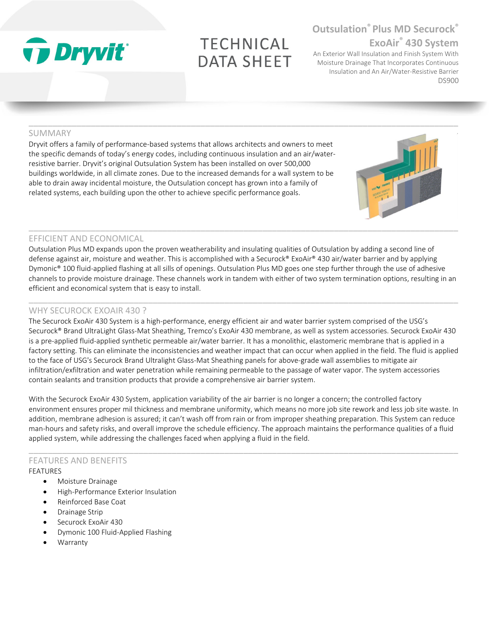# **Ty Dryvit**®

## **TECHNICAL DATA SHEET**

### **Outsulation® Plus MD Securock® ExoAir® 430 System**

An Exterior Wall Insulation and Finish System With Moisture Drainage That Incorporates Continuous Insulation and An Air/Water-Resistive Barrier DS900

#### SUMMARY

Dryvit offers a family of performance-based systems that allows architects and owners to meet the specific demands of today's energy codes, including continuous insulation and an air/waterresistive barrier. Dryvit's original Outsulation System has been installed on over 500,000 buildings worldwide, in all climate zones. Due to the increased demands for a wall system to be able to drain away incidental moisture, the Outsulation concept has grown into a family of related systems, each building upon the other to achieve specific performance goals.

#### EFFICIENT AND ECONOMICAL

Outsulation Plus MD expands upon the proven weatherability and insulating qualities of Outsulation by adding a second line of defense against air, moisture and weather. This is accomplished with a Securock® ExoAir® 430 air/water barrier and by applying Dymonic® 100 fluid-applied flashing at all sills of openings. Outsulation Plus MD goes one step further through the use of adhesive channels to provide moisture drainage. These channels work in tandem with either of two system termination options, resulting in an efficient and economical system that is easy to install.

 $\_$  ,  $\_$  ,  $\_$  ,  $\_$  ,  $\_$  ,  $\_$  ,  $\_$  ,  $\_$  ,  $\_$  ,  $\_$  ,  $\_$  ,  $\_$  ,  $\_$  ,  $\_$  ,  $\_$  ,  $\_$  ,  $\_$  ,  $\_$  ,  $\_$  ,  $\_$  ,  $\_$  ,  $\_$  ,  $\_$  ,  $\_$  ,  $\_$  ,  $\_$  ,  $\_$  ,  $\_$  ,  $\_$  ,  $\_$  ,  $\_$  ,  $\_$  ,  $\_$  ,  $\_$  ,  $\_$  ,  $\_$  ,  $\_$  ,

#### WHY SECUROCK EXOAIR 430 ?

The Securock ExoAir 430 System is a high-performance, energy efficient air and water barrier system comprised of the USG's Securock® Brand UltraLight Glass-Mat Sheathing, Tremco's ExoAir 430 membrane, as well as system accessories. Securock ExoAir 430 is a pre-applied fluid-applied synthetic permeable air/water barrier. It has a monolithic, elastomeric membrane that is applied in a factory setting. This can eliminate the inconsistencies and weather impact that can occur when applied in the field. The fluid is applied to the face of USG's Securock Brand Ultralight Glass-Mat Sheathing panels for above-grade wall assemblies to mitigate air infiltration/exfiltration and water penetration while remaining permeable to the passage of water vapor. The system accessories contain sealants and transition products that provide a comprehensive air barrier system.

With the Securock ExoAir 430 System, application variability of the air barrier is no longer a concern; the controlled factory environment ensures proper mil thickness and membrane uniformity, which means no more job site rework and less job site waste. In addition, membrane adhesion is assured; it can't wash off from rain or from improper sheathing preparation. This System can reduce man-hours and safety risks, and overall improve the schedule efficiency. The approach maintains the performance qualities of a fluid applied system, while addressing the challenges faced when applying a fluid in the field.

 $\_$  ,  $\_$  ,  $\_$  ,  $\_$  ,  $\_$  ,  $\_$  ,  $\_$  ,  $\_$  ,  $\_$  ,  $\_$  ,  $\_$  ,  $\_$  ,  $\_$  ,  $\_$  ,  $\_$  ,  $\_$  ,  $\_$  ,  $\_$  ,  $\_$  ,  $\_$  ,  $\_$  ,  $\_$  ,  $\_$  ,  $\_$  ,  $\_$  ,  $\_$  ,  $\_$  ,  $\_$  ,  $\_$  ,  $\_$  ,  $\_$  ,  $\_$  ,  $\_$  ,  $\_$  ,  $\_$  ,  $\_$  ,  $\_$  ,

#### FEATURES AND BENEFITS FEATURES

- Moisture Drainage
- High-Performance Exterior Insulation
- Reinforced Base Coat
- Drainage Strip
- Securock ExoAir 430
- Dymonic 100 Fluid-Applied Flashing
- **Warranty**